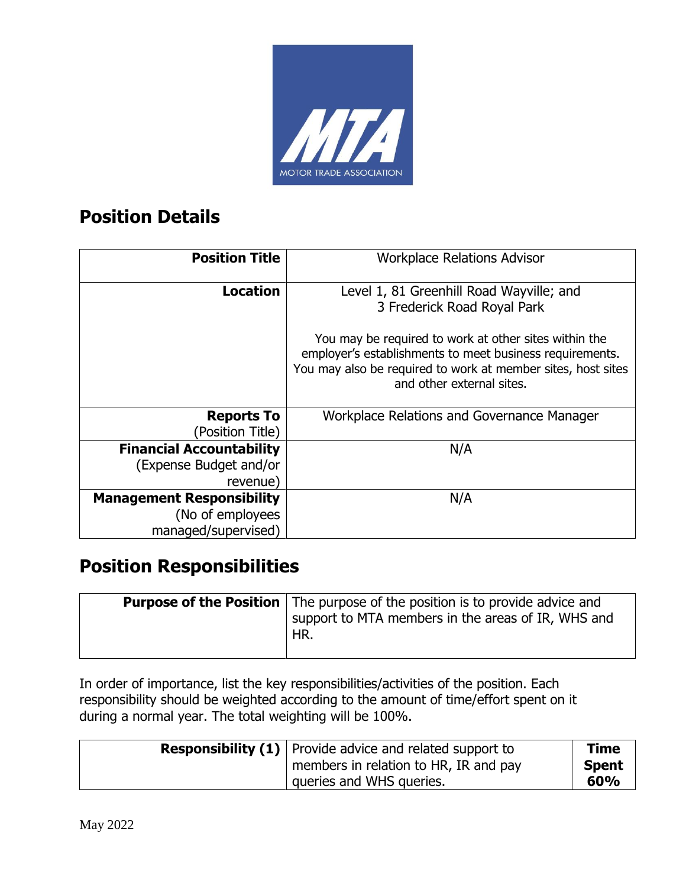

#### **Position Details**

| <b>Position Title</b>                 | <b>Workplace Relations Advisor</b>                                                                                                                    |
|---------------------------------------|-------------------------------------------------------------------------------------------------------------------------------------------------------|
| <b>Location</b>                       | Level 1, 81 Greenhill Road Wayville; and<br>3 Frederick Road Royal Park<br>You may be required to work at other sites within the                      |
|                                       | employer's establishments to meet business requirements.<br>You may also be required to work at member sites, host sites<br>and other external sites. |
| <b>Reports To</b><br>(Position Title) | Workplace Relations and Governance Manager                                                                                                            |
| <b>Financial Accountability</b>       | N/A                                                                                                                                                   |
| (Expense Budget and/or                |                                                                                                                                                       |
| revenue)                              |                                                                                                                                                       |
| <b>Management Responsibility</b>      | N/A                                                                                                                                                   |
| (No of employees                      |                                                                                                                                                       |
| managed/supervised)                   |                                                                                                                                                       |

### **Position Responsibilities**

| <b>Purpose of the Position</b> The purpose of the position is to provide advice and |
|-------------------------------------------------------------------------------------|
| support to MTA members in the areas of IR, WHS and                                  |
| HR.                                                                                 |
|                                                                                     |

In order of importance, list the key responsibilities/activities of the position. Each responsibility should be weighted according to the amount of time/effort spent on it during a normal year. The total weighting will be 100%.

| <b>Responsibility (1)</b> Provide advice and related support to | <b>Time</b>  |
|-----------------------------------------------------------------|--------------|
| members in relation to HR, IR and pay                           | <b>Spent</b> |
| queries and WHS queries.                                        | 60%          |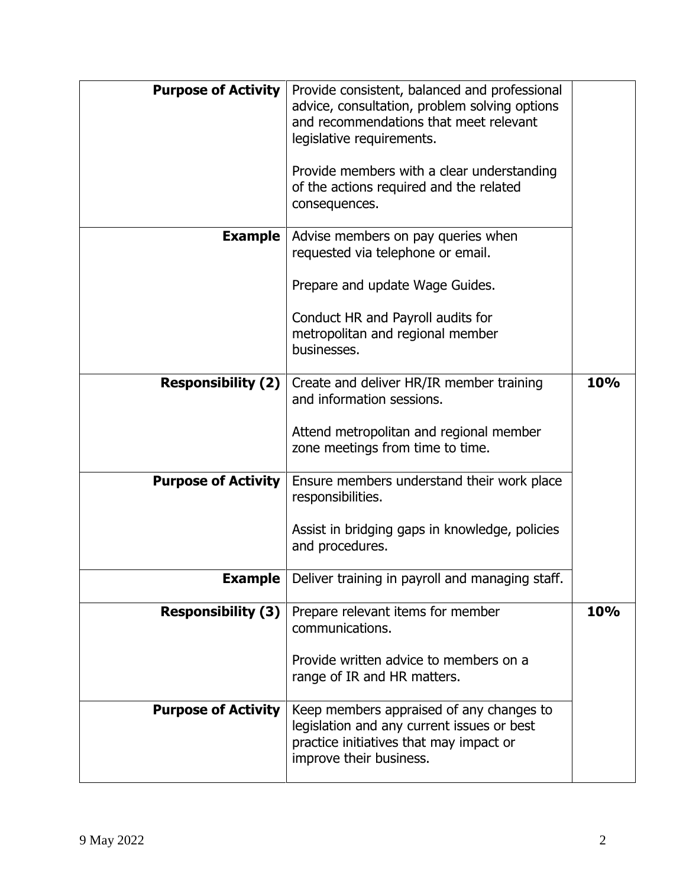| <b>Purpose of Activity</b> | Provide consistent, balanced and professional   |     |
|----------------------------|-------------------------------------------------|-----|
|                            | advice, consultation, problem solving options   |     |
|                            | and recommendations that meet relevant          |     |
|                            | legislative requirements.                       |     |
|                            |                                                 |     |
|                            | Provide members with a clear understanding      |     |
|                            |                                                 |     |
|                            | of the actions required and the related         |     |
|                            | consequences.                                   |     |
|                            |                                                 |     |
| Example                    | Advise members on pay queries when              |     |
|                            | requested via telephone or email.               |     |
|                            |                                                 |     |
|                            | Prepare and update Wage Guides.                 |     |
|                            |                                                 |     |
|                            | Conduct HR and Payroll audits for               |     |
|                            | metropolitan and regional member                |     |
|                            | businesses.                                     |     |
|                            |                                                 |     |
|                            |                                                 |     |
| <b>Responsibility (2)</b>  | Create and deliver HR/IR member training        | 10% |
|                            | and information sessions.                       |     |
|                            |                                                 |     |
|                            | Attend metropolitan and regional member         |     |
|                            | zone meetings from time to time.                |     |
|                            |                                                 |     |
| <b>Purpose of Activity</b> | Ensure members understand their work place      |     |
|                            | responsibilities.                               |     |
|                            |                                                 |     |
|                            | Assist in bridging gaps in knowledge, policies  |     |
|                            | and procedures.                                 |     |
|                            |                                                 |     |
| Example $ $                | Deliver training in payroll and managing staff. |     |
|                            |                                                 |     |
| <b>Responsibility (3)</b>  | Prepare relevant items for member               | 10% |
|                            | communications.                                 |     |
|                            |                                                 |     |
|                            | Provide written advice to members on a          |     |
|                            | range of IR and HR matters.                     |     |
|                            |                                                 |     |
|                            |                                                 |     |
|                            |                                                 |     |
| <b>Purpose of Activity</b> | Keep members appraised of any changes to        |     |
|                            | legislation and any current issues or best      |     |
|                            | practice initiatives that may impact or         |     |
|                            | improve their business.                         |     |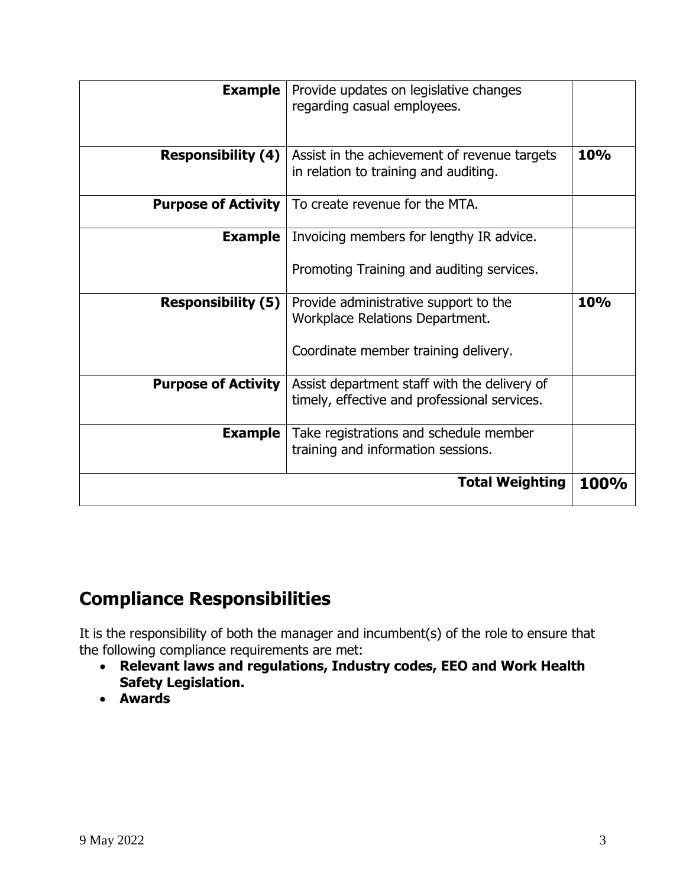|                            | <b>Total Weighting</b>                                                                       | <b>100%</b> |
|----------------------------|----------------------------------------------------------------------------------------------|-------------|
| <b>Example</b>             | Take registrations and schedule member<br>training and information sessions.                 |             |
| <b>Purpose of Activity</b> | Assist department staff with the delivery of<br>timely, effective and professional services. |             |
|                            | Coordinate member training delivery.                                                         |             |
| <b>Responsibility (5)</b>  | Provide administrative support to the<br><b>Workplace Relations Department.</b>              | <b>10%</b>  |
|                            | Promoting Training and auditing services.                                                    |             |
| Example                    | Invoicing members for lengthy IR advice.                                                     |             |
| <b>Purpose of Activity</b> | To create revenue for the MTA.                                                               |             |
| <b>Responsibility (4)</b>  | Assist in the achievement of revenue targets<br>in relation to training and auditing.        | 10%         |
|                            |                                                                                              |             |
| <b>Example</b>             | Provide updates on legislative changes<br>regarding casual employees.                        |             |

### **Compliance Responsibilities**

It is the responsibility of both the manager and incumbent(s) of the role to ensure that the following compliance requirements are met:

- **Relevant laws and regulations, Industry codes, EEO and Work Health Safety Legislation.**
- **Awards**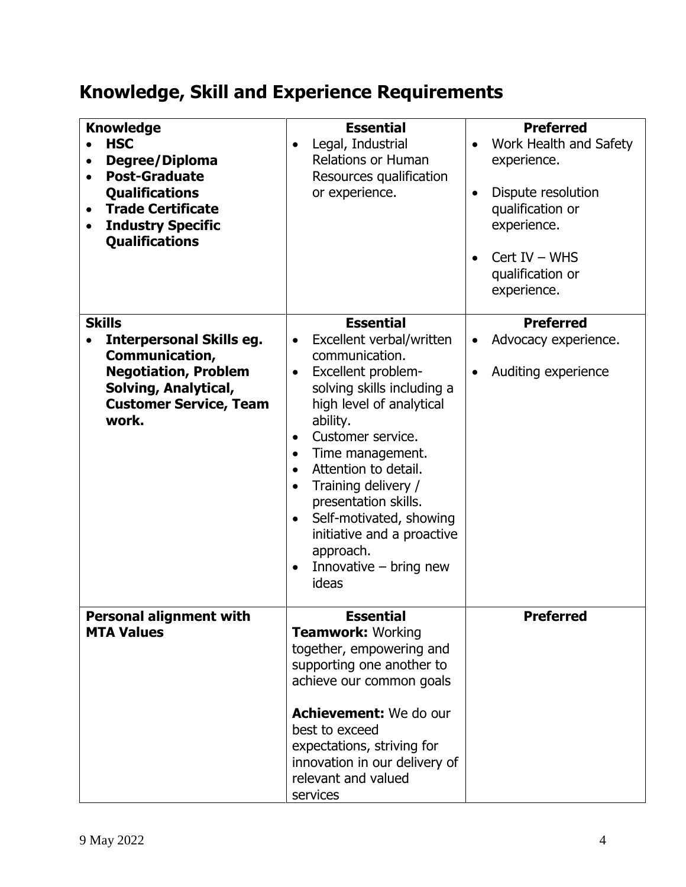## **Knowledge, Skill and Experience Requirements**

| <b>Knowledge</b><br><b>HSC</b><br>Degree/Diploma<br><b>Post-Graduate</b><br><b>Qualifications</b><br><b>Trade Certificate</b><br>$\bullet$<br><b>Industry Specific</b><br><b>Qualifications</b> | <b>Essential</b><br>Legal, Industrial<br>$\bullet$<br><b>Relations or Human</b><br>Resources qualification<br>or experience.                                                                                                                                                                                                                                                                                                                                                                  | <b>Preferred</b><br>Work Health and Safety<br>experience.<br>Dispute resolution<br>$\bullet$<br>qualification or<br>experience.<br>$Cert IV - WHS$<br>qualification or<br>experience. |
|-------------------------------------------------------------------------------------------------------------------------------------------------------------------------------------------------|-----------------------------------------------------------------------------------------------------------------------------------------------------------------------------------------------------------------------------------------------------------------------------------------------------------------------------------------------------------------------------------------------------------------------------------------------------------------------------------------------|---------------------------------------------------------------------------------------------------------------------------------------------------------------------------------------|
| <b>Skills</b><br><b>Interpersonal Skills eg.</b><br>Communication,<br><b>Negotiation, Problem</b><br>Solving, Analytical,<br><b>Customer Service, Team</b><br>work.                             | <b>Essential</b><br>Excellent verbal/written<br>$\bullet$<br>communication.<br>Excellent problem-<br>$\bullet$<br>solving skills including a<br>high level of analytical<br>ability.<br>Customer service.<br>$\bullet$<br>Time management.<br>$\bullet$<br>Attention to detail.<br>$\bullet$<br>Training delivery /<br>$\bullet$<br>presentation skills.<br>Self-motivated, showing<br>$\bullet$<br>initiative and a proactive<br>approach.<br>Innovative $-$ bring new<br>$\bullet$<br>ideas | <b>Preferred</b><br>Advocacy experience.<br>$\bullet$<br>Auditing experience<br>$\bullet$                                                                                             |
| <b>Personal alignment with</b><br><b>MTA Values</b>                                                                                                                                             | <b>Essential</b><br><b>Teamwork: Working</b><br>together, empowering and<br>supporting one another to<br>achieve our common goals<br>Achievement: We do our<br>best to exceed<br>expectations, striving for<br>innovation in our delivery of<br>relevant and valued<br>services                                                                                                                                                                                                               | <b>Preferred</b>                                                                                                                                                                      |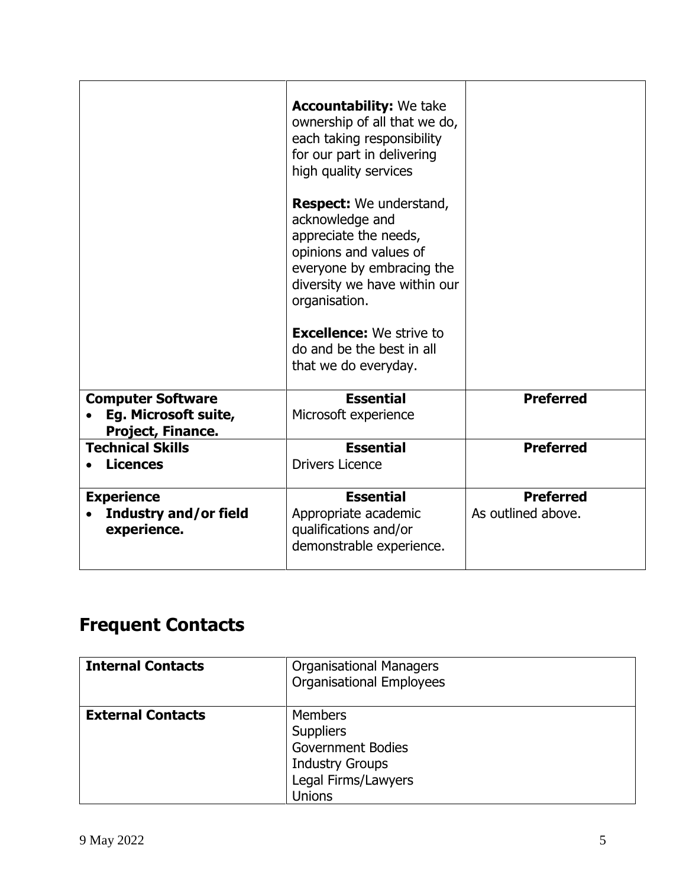|                                                                       | <b>Accountability:</b> We take<br>ownership of all that we do,<br>each taking responsibility<br>for our part in delivering<br>high quality services<br><b>Respect:</b> We understand,<br>acknowledge and<br>appreciate the needs,<br>opinions and values of<br>everyone by embracing the<br>diversity we have within our<br>organisation.<br><b>Excellence:</b> We strive to<br>do and be the best in all<br>that we do everyday. |                                        |
|-----------------------------------------------------------------------|-----------------------------------------------------------------------------------------------------------------------------------------------------------------------------------------------------------------------------------------------------------------------------------------------------------------------------------------------------------------------------------------------------------------------------------|----------------------------------------|
| <b>Computer Software</b><br>Eg. Microsoft suite,<br>Project, Finance. | <b>Essential</b><br>Microsoft experience                                                                                                                                                                                                                                                                                                                                                                                          | <b>Preferred</b>                       |
| <b>Technical Skills</b><br><b>Licences</b>                            | <b>Essential</b><br><b>Drivers Licence</b>                                                                                                                                                                                                                                                                                                                                                                                        | <b>Preferred</b>                       |
| <b>Experience</b><br>Industry and/or field<br>experience.             | <b>Essential</b><br>Appropriate academic<br>qualifications and/or<br>demonstrable experience.                                                                                                                                                                                                                                                                                                                                     | <b>Preferred</b><br>As outlined above. |

## **Frequent Contacts**

| <b>Internal Contacts</b> | <b>Organisational Managers</b><br><b>Organisational Employees</b>                                                         |
|--------------------------|---------------------------------------------------------------------------------------------------------------------------|
| <b>External Contacts</b> | <b>Members</b><br><b>Suppliers</b><br><b>Government Bodies</b><br><b>Industry Groups</b><br>Legal Firms/Lawyers<br>Unions |